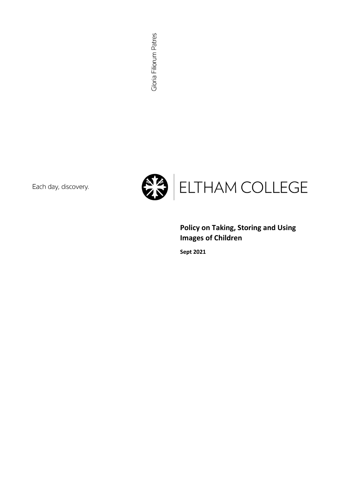Each day, discovery.



Policy on Taking, Storing and Using Images of Children

Sept 2021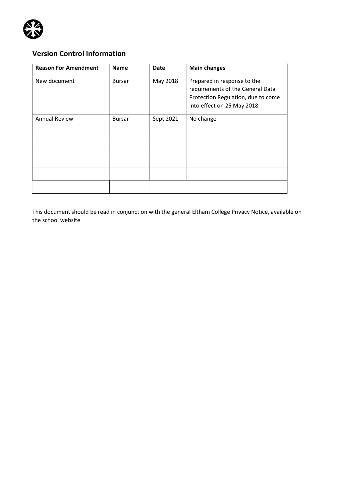

# Version Control Information

| <b>Reason For Amendment</b> | <b>Name</b>   | <b>Date</b> | <b>Main changes</b>                                                                                                                 |
|-----------------------------|---------------|-------------|-------------------------------------------------------------------------------------------------------------------------------------|
| New document                | <b>Bursar</b> | May 2018    | Prepared in response to the<br>requirements of the General Data<br>Protection Regulation, due to come<br>into effect on 25 May 2018 |
| <b>Annual Review</b>        | <b>Bursar</b> | Sept 2021   | No change                                                                                                                           |
|                             |               |             |                                                                                                                                     |
|                             |               |             |                                                                                                                                     |
|                             |               |             |                                                                                                                                     |
|                             |               |             |                                                                                                                                     |
|                             |               |             |                                                                                                                                     |

This document should be read in conjunction with the general Eltham College Privacy Notice, available on the school website.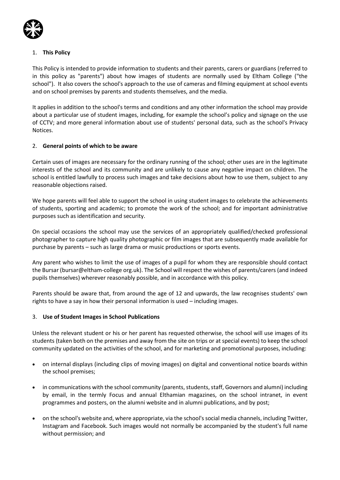

# 1. This Policy

This Policy is intended to provide information to students and their parents, carers or guardians (referred to in this policy as "parents") about how images of students are normally used by Eltham College ("the school"). It also covers the school's approach to the use of cameras and filming equipment at school events and on school premises by parents and students themselves, and the media.

It applies in addition to the school's terms and conditions and any other information the school may provide about a particular use of student images, including, for example the school's policy and signage on the use of CCTV; and more general information about use of students' personal data, such as the school's Privacy Notices.

# 2. General points of which to be aware

Certain uses of images are necessary for the ordinary running of the school; other uses are in the legitimate interests of the school and its community and are unlikely to cause any negative impact on children. The school is entitled lawfully to process such images and take decisions about how to use them, subject to any reasonable objections raised.

We hope parents will feel able to support the school in using student images to celebrate the achievements of students, sporting and academic; to promote the work of the school; and for important administrative purposes such as identification and security.

On special occasions the school may use the services of an appropriately qualified/checked professional photographer to capture high quality photographic or film images that are subsequently made available for purchase by parents – such as large drama or music productions or sports events.

Any parent who wishes to limit the use of images of a pupil for whom they are responsible should contact the Bursar (bursar@eltham-college org.uk). The School will respect the wishes of parents/carers (and indeed pupils themselves) wherever reasonably possible, and in accordance with this policy.

Parents should be aware that, from around the age of 12 and upwards, the law recognises students' own rights to have a say in how their personal information is used – including images.

## 3. Use of Student Images in School Publications

Unless the relevant student or his or her parent has requested otherwise, the school will use images of its students (taken both on the premises and away from the site on trips or at special events) to keep the school community updated on the activities of the school, and for marketing and promotional purposes, including:

- on internal displays (including clips of moving images) on digital and conventional notice boards within the school premises;
- in communications with the school community (parents, students, staff, Governors and alumni) including by email, in the termly Focus and annual Elthamian magazines, on the school intranet, in event programmes and posters, on the alumni website and in alumni publications, and by post;
- on the school's website and, where appropriate, via the school's social media channels, including Twitter, Instagram and Facebook. Such images would not normally be accompanied by the student's full name without permission; and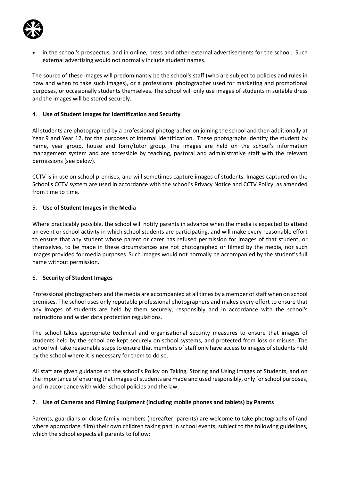

 in the school's prospectus, and in online, press and other external advertisements for the school. Such external advertising would not normally include student names.

The source of these images will predominantly be the school's staff (who are subject to policies and rules in how and when to take such images), or a professional photographer used for marketing and promotional purposes, or occasionally students themselves. The school will only use images of students in suitable dress and the images will be stored securely.

## 4. Use of Student Images for Identification and Security

All students are photographed by a professional photographer on joining the school and then additionally at Year 9 and Year 12, for the purposes of internal identification. These photographs identify the student by name, year group, house and form/tutor group. The images are held on the school's information management system and are accessible by teaching, pastoral and administrative staff with the relevant permissions (see below).

CCTV is in use on school premises, and will sometimes capture images of students. Images captured on the School's CCTV system are used in accordance with the school's Privacy Notice and CCTV Policy, as amended from time to time.

## 5. Use of Student Images in the Media

Where practicably possible, the school will notify parents in advance when the media is expected to attend an event or school activity in which school students are participating, and will make every reasonable effort to ensure that any student whose parent or carer has refused permission for images of that student, or themselves, to be made in these circumstances are not photographed or filmed by the media, nor such images provided for media purposes. Such images would not normally be accompanied by the student's full name without permission.

## 6. Security of Student Images

Professional photographers and the media are accompanied at all times by a member of staff when on school premises. The school uses only reputable professional photographers and makes every effort to ensure that any images of students are held by them securely, responsibly and in accordance with the school's instructions and wider data protection regulations.

The school takes appropriate technical and organisational security measures to ensure that images of students held by the school are kept securely on school systems, and protected from loss or misuse. The school will take reasonable steps to ensure that members of staff only have access to images of students held by the school where it is necessary for them to do so.

All staff are given guidance on the school's Policy on Taking, Storing and Using Images of Students, and on the importance of ensuring that images of students are made and used responsibly, only for school purposes, and in accordance with wider school policies and the law.

## 7. Use of Cameras and Filming Equipment (including mobile phones and tablets) by Parents

Parents, guardians or close family members (hereafter, parents) are welcome to take photographs of (and where appropriate, film) their own children taking part in school events, subject to the following guidelines, which the school expects all parents to follow: